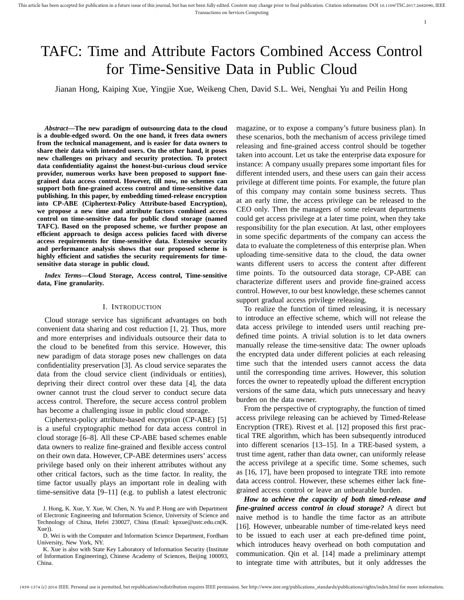1

# TAFC: Time and Attribute Factors Combined Access Control for Time-Sensitive Data in Public Cloud

Jianan Hong, Kaiping Xue, Yingjie Xue, Weikeng Chen, David S.L. Wei, Nenghai Yu and Peilin Hong

*Abstract***—The new paradigm of outsourcing data to the cloud is a double-edged sword. On the one hand, it frees data owners from the technical management, and is easier for data owners to share their data with intended users. On the other hand, it poses new challenges on privacy and security protection. To protect data confidentiality against the honest-but-curious cloud service provider, numerous works have been proposed to support finegrained data access control. However, till now, no schemes can support both fine-grained access control and time-sensitive data publishing. In this paper, by embedding timed-release encryption into CP-ABE (Ciphertext-Policy Attribute-based Encryption), we propose a new time and attribute factors combined access control on time-sensitive data for public cloud storage (named TAFC). Based on the proposed scheme, we further propose an efficient approach to design access policies faced with diverse access requirements for time-sensitive data. Extensive security and performance analysis shows that our proposed scheme is highly efficient and satisfies the security requirements for timesensitive data storage in public cloud.**

*Index Terms***—Cloud Storage, Access control, Time-sensitive data, Fine granularity.**

# I. INTRODUCTION

Cloud storage service has significant advantages on both convenient data sharing and cost reduction [1, 2]. Thus, more and more enterprises and individuals outsource their data to the cloud to be benefited from this service. However, this new paradigm of data storage poses new challenges on data confidentiality preservation [3]. As cloud service separates the data from the cloud service client (individuals or entities), depriving their direct control over these data [4], the data owner cannot trust the cloud server to conduct secure data access control. Therefore, the secure access control problem has become a challenging issue in public cloud storage.

Ciphertext-policy attribute-based encryption (CP-ABE) [5] is a useful cryptographic method for data access control in cloud storage [6–8]. All these CP-ABE based schemes enable data owners to realize fine-grained and flexible access control on their own data. However, CP-ABE determines users' access privilege based only on their inherent attributes without any other critical factors, such as the time factor. In reality, the time factor usually plays an important role in dealing with time-sensitive data [9–11] (e.g. to publish a latest electronic magazine, or to expose a company's future business plan). In these scenarios, both the mechanism of access privilege timed releasing and fine-grained access control should be together taken into account. Let us take the enterprise data exposure for instance: A company usually prepares some important files for different intended users, and these users can gain their access privilege at different time points. For example, the future plan of this company may contain some business secrets. Thus at an early time, the access privilege can be released to the CEO only. Then the managers of some relevant departments could get access privilege at a later time point, when they take responsibility for the plan execution. At last, other employees in some specific departments of the company can access the data to evaluate the completeness of this enterprise plan. When uploading time-sensitive data to the cloud, the data owner wants different users to access the content after different time points. To the outsourced data storage, CP-ABE can characterize different users and provide fine-grained access control. However, to our best knowledge, these schemes cannot support gradual access privilege releasing.

To realize the function of timed releasing, it is necessary to introduce an effective scheme, which will not release the data access privilege to intended users until reaching predefined time points. A trivial solution is to let data owners manually release the time-sensitive data: The owner uploads the encrypted data under different policies at each releasing time such that the intended users cannot access the data until the corresponding time arrives. However, this solution forces the owner to repeatedly upload the different encryption versions of the same data, which puts unnecessary and heavy burden on the data owner.

From the perspective of cryptography, the function of timed access privilege releasing can be achieved by Timed-Release Encryption (TRE). Rivest et al. [12] proposed this first practical TRE algorithm, which has been subsequently introduced into different scenarios [13–15]. In a TRE-based system, a trust time agent, rather than data owner, can uniformly release the access privilege at a specific time. Some schemes, such as [16, 17], have been proposed to integrate TRE into remote data access control. However, these schemes either lack finegrained access control or leave an unbearable burden.

*How to achieve the capacity of both timed-release and fine-grained access control in cloud storage?* A direct but naive method is to handle the time factor as an attribute [16]. However, unbearable number of time-related keys need to be issued to each user at each pre-defined time point, which introduces heavy overhead on both computation and communication. Qin et al. [14] made a preliminary attempt to integrate time with attributes, but it only addresses the

J. Hong, K. Xue, Y. Xue, W. Chen, N. Yu and P. Hong are with Department of Electronic Engineering and Information Science, University of Science and Technology of China, Hefei 230027, China (Email: kpxue@ustc.edu.cn(K. Xue)).

D. Wei is with the Computer and Information Science Department, Fordham University, New York, NY.

K. Xue is also with State Key Laboratory of Information Security (Institute of Information Engineering), Chinese Academy of Sciences, Beijing 100093, China.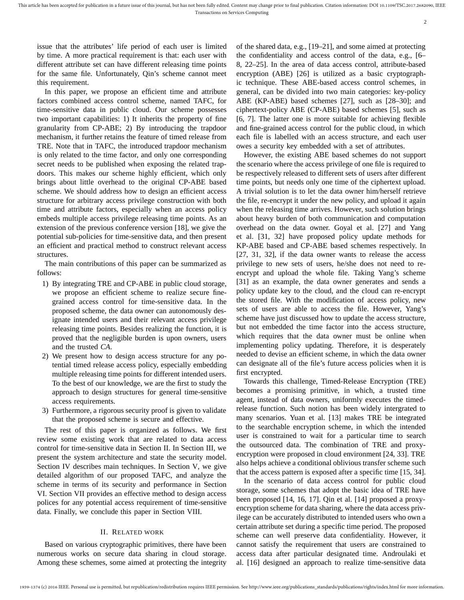issue that the attributes' life period of each user is limited by time. A more practical requirement is that: each user with different attribute set can have different releasing time points for the same file. Unfortunately, Qin's scheme cannot meet this requirement.

In this paper, we propose an efficient time and attribute factors combined access control scheme, named TAFC, for time-sensitive data in public cloud. Our scheme possesses two important capabilities: 1) It inherits the property of fine granularity from CP-ABE; 2) By introducing the trapdoor mechanism, it further retains the feature of timed release from TRE. Note that in TAFC, the introduced trapdoor mechanism is only related to the time factor, and only one corresponding secret needs to be published when exposing the related trapdoors. This makes our scheme highly efficient, which only brings about little overhead to the original CP-ABE based scheme. We should address how to design an efficient access structure for arbitrary access privilege construction with both time and attribute factors, especially when an access policy embeds multiple access privilege releasing time points. As an extension of the previous conference version [18], we give the potential sub-policies for time-sensitive data, and then present an efficient and practical method to construct relevant access structures.

The main contributions of this paper can be summarized as follows:

- 1) By integrating TRE and CP-ABE in public cloud storage, we propose an efficient scheme to realize secure finegrained access control for time-sensitive data. In the proposed scheme, the data owner can autonomously designate intended users and their relevant access privilege releasing time points. Besides realizing the function, it is proved that the negligible burden is upon owners, users and the trusted *CA*.
- 2) We present how to design access structure for any potential timed release access policy, especially embedding multiple releasing time points for different intended users. To the best of our knowledge, we are the first to study the approach to design structures for general time-sensitive access requirements.
- 3) Furthermore, a rigorous security proof is given to validate that the proposed scheme is secure and effective.

The rest of this paper is organized as follows. We first review some existing work that are related to data access control for time-sensitive data in Section II. In Section III, we present the system architecture and state the security model. Section IV describes main techniques. In Section V, we give detailed algorithm of our proposed TAFC, and analyze the scheme in terms of its security and performance in Section VI. Section VII provides an effective method to design access polices for any potential access requirement of time-sensitive data. Finally, we conclude this paper in Section VIII.

# II. RELATED WORK

Based on various cryptographic primitives, there have been numerous works on secure data sharing in cloud storage. Among these schemes, some aimed at protecting the integrity of the shared data, e.g., [19–21], and some aimed at protecting the confidentiality and access control of the data, e.g., [6– 8, 22–25]. In the area of data access control, attribute-based encryption (ABE) [26] is utilized as a basic cryptographic technique. These ABE-based access control schemes, in general, can be divided into two main categories: key-policy ABE (KP-ABE) based schemes [27], such as [28–30]; and ciphertext-policy ABE (CP-ABE) based schemes [5], such as [6, 7]. The latter one is more suitable for achieving flexible and fine-grained access control for the public cloud, in which each file is labelled with an access structure, and each user owes a security key embedded with a set of attributes.

However, the existing ABE based schemes do not support the scenario where the access privilege of one file is required to be respectively released to different sets of users after different time points, but needs only one time of the ciphertext upload. A trivial solution is to let the data owner him/herself retrieve the file, re-encrypt it under the new policy, and upload it again when the releasing time arrives. However, such solution brings about heavy burden of both communication and computation overhead on the data owner. Goyal et al. [27] and Yang et al. [31, 32] have proposed policy update methods for KP-ABE based and CP-ABE based schemes respectively. In [27, 31, 32], if the data owner wants to release the access privilege to new sets of users, he/she does not need to reencrypt and upload the whole file. Taking Yang's scheme [31] as an example, the data owner generates and sends a policy update key to the cloud, and the cloud can re-encrypt the stored file. With the modification of access policy, new sets of users are able to access the file. However, Yang's scheme have just discussed how to update the access structure, but not embedded the time factor into the access structure, which requires that the data owner must be online when implementing policy updating. Therefore, it is desperately needed to devise an efficient scheme, in which the data owner can designate all of the file's future access policies when it is first encrypted.

Towards this challenge, Timed-Release Encryption (TRE) becomes a promising primitive, in which, a trusted time agent, instead of data owners, uniformly executes the timedrelease function. Such notion has been widely intergrated to many scenarios. Yuan et al. [13] makes TRE be integrated to the searchable encryption scheme, in which the intended user is constrained to wait for a particular time to search the outsourced data. The combination of TRE and proxyencryption were proposed in cloud environment [24, 33]. TRE also helps achieve a conditional oblivious transfer scheme such that the access pattern is exposed after a specific time [15, 34].

In the scenario of data access control for public cloud storage, some schemes that adopt the basic idea of TRE have been proposed [14, 16, 17]. Qin et al. [14] proposed a proxyencryption scheme for data sharing, where the data access privilege can be accurately distributed to intended users who own a certain attribute set during a specific time period. The proposed scheme can well preserve data confidentiality. However, it cannot satisfy the requirement that users are constrained to access data after particular designated time. Androulaki et al. [16] designed an approach to realize time-sensitive data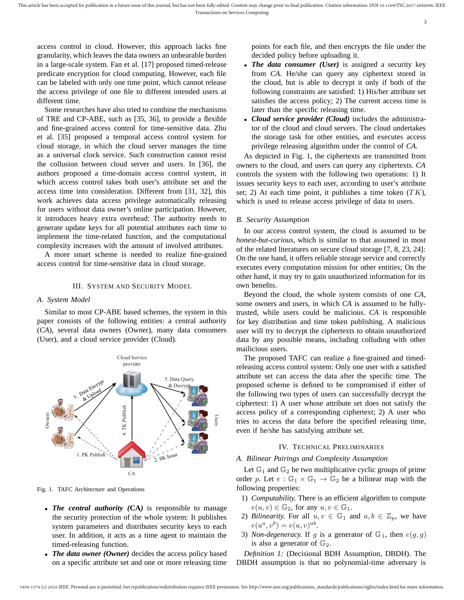access control in cloud. However, this approach lacks fine granularity, which leaves the data owners an unbearable burden in a large-scale system. Fan et al. [17] proposed timed-release predicate encryption for cloud computing. However, each file can be labeled with only one time point, which cannot release the access privilege of one file to different intended users at different time.

Some researches have also tried to combine the mechanisms of TRE and CP-ABE, such as [35, 36], to provide a flexible and fine-grained access control for time-sensitive data. Zhu et al. [35] proposed a temporal access control system for cloud storage, in which the cloud server manages the time as a universal clock service. Such construction cannot resist the collusion between cloud server and users. In [36], the authors proposed a time-domain access control system, in which access control takes both user's attribute set and the access time into consideration. Different from [31, 32], this work achieves data access privilege automatically releasing for users without data owner's online participation. However, it introduces heavy extra overhead: The authority needs to generate update keys for all potential attributes each time to implement the time-related function, and the computational complexity increases with the amount of involved attributes.

A more smart scheme is needed to realize fine-grained access control for time-sensitive data in cloud storage.

# III. SYSTEM AND SECURITY MODEL

# *A. System Model*

Similar to most CP-ABE based schemes, the system in this paper consists of the following entities: a central authority (*CA*), several data owners (Owner), many data consumers (User), and a cloud service provider (Cloud).



Fig. 1. TAFC Architecture and Operations

- *The central authority (***CA***)* is responsible to manage the security protection of the whole system: It publishes system parameters and distributes security keys to each user. In addition, it acts as a time agent to maintain the timed-releasing function.
- *The data owner (Owner)* decides the access policy based on a specific attribute set and one or more releasing time

points for each file, and then encrypts the file under the decided policy before uploading it.

- *The data consumer (User)* is assigned a security key from *CA*. He/she can query any ciphertext stored in the cloud, but is able to decrypt it only if both of the following constraints are satisfied: 1) His/her attribute set satisfies the access policy; 2) The current access time is later than the specific releasing time.
- *Cloud service provider (Cloud)* includes the administrator of the cloud and cloud servers. The cloud undertakes the storage task for other entities, and executes access privilege releasing algorithm under the control of *CA*.

As depicted in Fig. 1, the ciphertexts are transmitted from owners to the cloud, and users can query any ciphertexts. *CA* controls the system with the following two operations: 1) It issues security keys to each user, according to user's attribute set; 2) At each time point, it publishes a time token  $(T K)$ , which is used to release access privilege of data to users.

## *B. Security Assumption*

In our access control system, the cloud is assumed to be *honest-but-curious*, which is similar to that assumed in most of the related literatures on secure cloud storage [7, 8, 23, 24]: On the one hand, it offers reliable storage service and correctly executes every computation mission for other entities; On the other hand, it may try to gain unauthorized information for its own benefits.

Beyond the cloud, the whole system consists of one *CA*, some owners and users, in which *CA* is assumed to be fullytrusted, while users could be malicious. *CA* is responsible for key distribution and time token publishing. A malicious user will try to decrypt the ciphertexts to obtain unauthorized data by any possible means, including colluding with other mailicious users.

The proposed TAFC can realize a fine-grained and timedreleasing access control system: Only one user with a satisfied attribute set can access the data after the specific time. The proposed scheme is defined to be compromised if either of the following two types of users can successfully decrypt the ciphertext: 1) A user whose attribute set does not satisfy the access policy of a corresponding ciphertext; 2) A user who tries to access the data before the specified releasing time, even if he/she has satisfying attribute set.

# IV. TECHNICAL PRELIMINARIES

## *A. Bilinear Pairings and Complexity Assumption*

Let  $\mathbb{G}_1$  and  $\mathbb{G}_2$  be two multiplicative cyclic groups of prime order p. Let  $e : \mathbb{G}_1 \times \mathbb{G}_1 \to \mathbb{G}_2$  be a bilinear map with the following properties:

- 1) *Computability.* There is an efficient algorithm to compute  $e(u, v) \in \mathbb{G}_2$ , for any  $u, v \in \mathbb{G}_1$ .
- 2) *Bilinearity.* For all  $u, v \in \mathbb{G}_1$  and  $a, b \in \mathbb{Z}_p$ , we have  $e(u^{a}, v^{b}) = e(u, v)^{ab}.$
- 3) *Non-degeneracy.* If g is a generator of  $\mathbb{G}_1$ , then  $e(g, g)$ is also a generator of  $\mathbb{G}_2$ .

*Definition 1:* (Decisional BDH Assumption, DBDH). The DBDH assumption is that no polynomial-time adversary is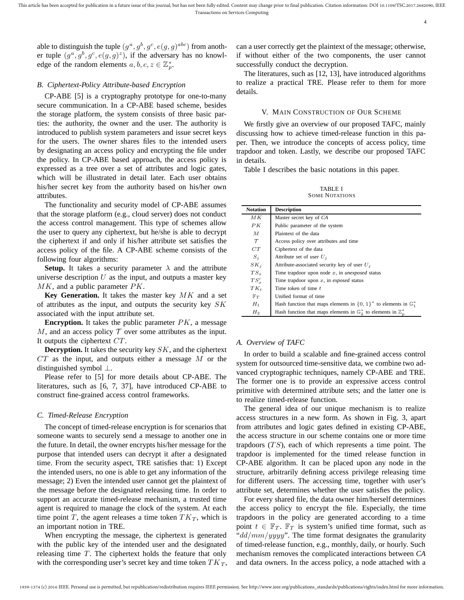able to distinguish the tuple  $(g^a, g^b, g^c, e(g, g)^{abc})$  from another tuple  $(g^a, g^b, g^c, e(g, g)^z)$ , if the adversary has no knowledge of the random elements  $a, b, c, z \in \mathbb{Z}_p^*$ .

#### *B. Ciphertext-Policy Attribute-based Encryption*

CP-ABE [5] is a cryptography prototype for one-to-many secure communication. In a CP-ABE based scheme, besides the storage platform, the system consists of three basic parties: the authority, the owner and the user. The authority is introduced to publish system parameters and issue secret keys for the users. The owner shares files to the intended users by designating an access policy and encrypting the file under the policy. In CP-ABE based approach, the access policy is expressed as a tree over a set of attributes and logic gates, which will be illustrated in detail later. Each user obtains his/her secret key from the authority based on his/her own attributes.

The functionality and security model of CP-ABE assumes that the storage platform (e.g., cloud server) does not conduct the access control management. This type of schemes allow the user to query any ciphertext, but he/she is able to decrypt the ciphertext if and only if his/her attribute set satisfies the access policy of the file. A CP-ABE scheme consists of the following four algorithms:

**Setup.** It takes a security parameter  $\lambda$  and the attribute universe description  $U$  as the input, and outputs a master key  $MK$ , and a public parameter  $PK$ .

**Key Generation.** It takes the master key  $MK$  and a set of attributes as the input, and outputs the security key  $SK$ associated with the input attribute set.

**Encryption.** It takes the public parameter  $PK$ , a message M, and an access policy  $\mathcal T$  over some attributes as the input. It outputs the ciphertext  $CT$ .

**Decryption.** It takes the security key SK, and the ciphertext  $CT$  as the input, and outputs either a message  $M$  or the distinguished symbol ⊥.

Please refer to [5] for more details about CP-ABE. The literatures, such as [6, 7, 37], have introduced CP-ABE to construct fine-grained access control frameworks.

#### *C. Timed-Release Encryption*

The concept of timed-release encryption is for scenarios that someone wants to securely send a message to another one in the future. In detail, the owner encrypts his/her message for the purpose that intended users can decrypt it after a designated time. From the security aspect, TRE satisfies that: 1) Except the intended users, no one is able to get any information of the message; 2) Even the intended user cannot get the plaintext of the message before the designated releasing time. In order to support an accurate timed-release mechanism, a trusted time agent is required to manage the clock of the system. At each time point T, the agent releases a time token  $TK_T$ , which is an important notion in TRE.

When encrypting the message, the ciphertext is generated with the public key of the intended user and the designated releasing time  $T$ . The ciphertext holds the feature that only with the corresponding user's secret key and time token  $TK_T$ , can a user correctly get the plaintext of the message; otherwise, if without either of the two components, the user cannot successfully conduct the decryption.

The literatures, such as [12, 13], have introduced algorithms to realize a practical TRE. Please refer to them for more details.

# V. MAIN CONSTRUCTION OF OUR SCHEME

We firstly give an overview of our proposed TAFC, mainly discussing how to achieve timed-release function in this paper. Then, we introduce the concepts of access policy, time trapdoor and token. Lastly, we describe our proposed TAFC in details.

Table I describes the basic notations in this paper.

TABLE I SOME NOTATIONS

| <b>Notation</b> | <b>Description</b>                                                                   |
|-----------------|--------------------------------------------------------------------------------------|
| МK              | Master secret key of CA                                                              |
| РK              | Public parameter of the system                                                       |
| М               | Plaintext of the data                                                                |
| $\tau$          | Access policy over attributes and time                                               |
| CT              | Ciphertext of the data                                                               |
| $S_i$           | Attribute set of user $U_i$                                                          |
| $SK_i$          | Attribute-associated security key of user $U_i$                                      |
| $TS_r$          | Time trapdoor upon node $x$ , in <i>unexposed</i> status                             |
| $TS'_x$         | Time trapdoor upon $x$ , in <i>exposed</i> status                                    |
| $TK_t$          | Time token of time t                                                                 |
| $\mathbb{F}_T$  | Unified format of time                                                               |
| $H_1$           | Hash function that maps elements in $\{0, 1\}^*$ to elements in $\mathbb{G}_1^*$     |
| $H_2$           | Hash function that maps elements in $\mathbb{G}_2^*$ to elements in $\mathbb{Z}_p^*$ |

# *A. Overview of TAFC*

In order to build a scalable and fine-grained access control system for outsourced time-sensitive data, we combine two advanced cryptographic techniques, namely CP-ABE and TRE. The former one is to provide an expressive access control primitive with determined attribute sets; and the latter one is to realize timed-release function.

The general idea of our unique mechanism is to realize access structures in a new form. As shown in Fig. 3, apart from attributes and logic gates defined in existing CP-ABE, the access structure in our scheme contains one or more time trapdoors  $(TS)$ , each of which represents a time point. The trapdoor is implemented for the timed release function in CP-ABE algorithm. It can be placed upon any node in the structure, arbitrarily defining access privilege releasing time for different users. The accessing time, together with user's attribute set, determines whether the user satisfies the policy.

For every shared file, the data owner him/herself determines the access policy to encrypt the file. Especially, the time trapdoors in the policy are generated according to a time point  $t \in \mathbb{F}_T$ .  $\mathbb{F}_T$  is system's unified time format, such as "dd/mm/yyyy". The time format designates the granularity of timed-release function, e.g., monthly, daily, or hourly. Such mechanism removes the complicated interactions between *CA* and data owners. In the access policy, a node attached with a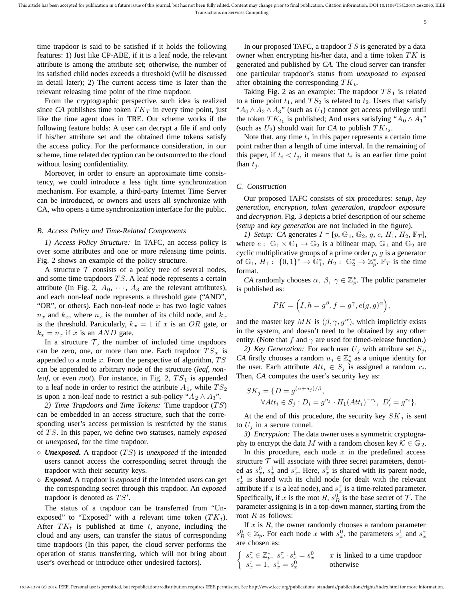time trapdoor is said to be satisfied if it holds the following features: 1) Just like CP-ABE, if it is a leaf node, the relevant attribute is among the attribute set; otherwise, the number of its satisfied child nodes exceeds a threshold (will be discussed in detail later); 2) The current access time is later than the relevant releasing time point of the time trapdoor.

From the cryptographic perspective, such idea is realized since *CA* publishes time token  $TK_T$  in every time point, just like the time agent does in TRE. Our scheme works if the following feature holds: A user can decrypt a file if and only if his/her attribute set and the obtained time tokens satisfy the access policy. For the performance consideration, in our scheme, time related decryption can be outsourced to the cloud without losing confidentiality.

Moreover, in order to ensure an approximate time consistency, we could introduce a less tight time synchronization mechanism. For example, a third-party Internet Time Server can be introduced, or owners and users all synchronize with CA, who opens a time synchronization interface for the public.

# *B. Access Policy and Time-Related Components*

*1) Access Policy Structure:* In TAFC, an access policy is over some attributes and one or more releasing time points. Fig. 2 shows an example of the policy structure.

A structure  $\mathcal T$  consists of a policy tree of several nodes, and some time trapdoors  $TS$ . A leaf node represents a certain attribute (In Fig. 2,  $A_0$ ,  $\cdots$ ,  $A_3$  are the relevant attributes), and each non-leaf node represents a threshold gate ("AND", "OR", or others). Each non-leaf node  $x$  has two logic values  $n_x$  and  $k_x$ , where  $n_x$  is the number of its child node, and  $k_x$ is the threshold. Particularly,  $k_x = 1$  if x is an OR gate, or  $k_x = n_x$  if x is an AND gate.

In a structure  $\mathcal{T}$ , the number of included time trapdoors can be zero, one, or more than one. Each trapdoor  $TS_x$  is appended to a node  $x$ . From the perspective of algorithm,  $TS$ can be appended to arbitrary node of the structure (*leaf*, *nonleaf*, or even *root*). For instance, in Fig. 2,  $TS_1$  is appended to a leaf node in order to restrict the attribute  $A_1$ , while  $TS_2$ is upon a non-leaf node to restrict a sub-policy " $A_2 \wedge A_3$ ".

*2) Time Trapdoors and Time Tokens:* Time trapdoor (T S) can be embedded in an access structure, such that the corresponding user's access permission is restricted by the status of T S. In this paper, we define two statuses, namely *exposed* or *unexposed*, for the time trapdoor.

- $\Diamond$  *Unexposed.* A trapdoor  $(TS)$  is *unexposed* if the intended users cannot access the corresponding secret through the trapdoor with their security keys.
- *Exposed.* A trapdoor is *exposed* if the intended users can get the corresponding secret through this trapdoor. An *exposed* trapdoor is denoted as  $TS'$ .

The status of a trapdoor can be transferred from "Unexposed" to "Exposed" with a relevant time token  $(T K_t)$ . After  $TK_t$  is published at time t, anyone, including the cloud and any users, can transfer the status of corresponding time trapdoors (In this paper, the cloud server performs the operation of status transferring, which will not bring about user's overhead or introduce other undesired factors).

In our proposed TAFC, a trapdoor  $TS$  is generated by a data owner when encrypting his/her data, and a time token  $TK$  is generated and published by *CA*. The cloud server can transfer one particular trapdoor's status from *unexposed* to *exposed* after obtaining the corresponding  $TK_t$ .

Taking Fig. 2 as an example: The trapdoor  $TS_1$  is related to a time point  $t_1$ , and  $TS_2$  is related to  $t_2$ . Users that satisfy " $A_0 \wedge A_2 \wedge A_3$ " (such as  $U_1$ ) cannot get access privilege until the token  $TK_{t_1}$  is published; And users satisfying " $A_0 \wedge A_1$ " (such as  $U_2$ ) should wait for *CA* to publish  $TK_{t_2}$ .

Note that, any time  $t_i$  in this paper represents a certain time point rather than a length of time interval. In the remaining of this paper, if  $t_i < t_j$ , it means that  $t_i$  is an earlier time point than  $t_i$ .

# *C. Construction*

Our proposed TAFC consists of six procedures: *setup*, *key generation*, *encryption*, *token generation*, *trapdoor exposure* and *decryption*. Fig. 3 depicts a brief description of our scheme (*setup* and *key generation* are not included in the figure).

*1) Setup: CA* generates  $I = [p, \mathbb{G}_1, \mathbb{G}_2, q, e, H_1, H_2, \mathbb{F}_T]$ , where  $e: \mathbb{G}_1 \times \mathbb{G}_1 \to \mathbb{G}_2$  is a bilinear map,  $\mathbb{G}_1$  and  $\mathbb{G}_2$  are cyclic multiplicative groups of a prime order  $p$ ,  $q$  is a generator of  $\mathbb{G}_1$ ,  $H_1$ :  $\{0,1\}^* \to \mathbb{G}_1^*$ ,  $H_2$ :  $\mathbb{G}_2^* \to \mathbb{Z}_p^*$ .  $\mathbb{F}_T$  is the time format.

*CA* randomly chooses  $\alpha$ ,  $\beta$ ,  $\gamma \in \mathbb{Z}_n^*$ . The public parameter is published as:

$$
PK = (I, h = g^{\beta}, f = g^{\gamma}, e(g, g)^{\alpha}),
$$

and the master key  $MK$  is  $(\beta, \gamma, g^{\alpha})$ , which implicitly exists in the system, and doesn't need to be obtained by any other entity. (Note that f and  $\gamma$  are used for timed-release function.)

*2) Key Generation:* For each user  $U_j$  with attribute set  $S_j$ , *CA* firstly chooses a random  $u_j \in \mathbb{Z}_p^*$  as a unique identity for the user. Each attribute  $Att_i \in S_i$  is assigned a random  $r_i$ . Then, *CA* computes the user's security key as:

$$
SK_j = \{D = g^{(\alpha + u_j)/\beta},
$$
  
 
$$
\forall Att_i \in S_j : D_i = g^{u_j} \cdot H_1 (Att_i)^{-r_i}, D'_i = g^{r_i}\}.
$$

At the end of this procedure, the security key  $SK_i$  is sent to  $U_i$  in a secure tunnel.

*3) Encryption:* The data owner uses a symmetric cryptography to encrypt the data M with a random chosen key  $K \in \mathbb{G}_2$ .

In this procedure, each node  $x$  in the predefined access structure  $T$  will associate with three secret parameters, denoted as  $s_x^0$ ,  $s_x^1$  and  $s_x^7$ . Here,  $s_x^0$  is shared with its parent node,  $s_x^1$  is shared with its child node (or dealt with the relevant attribute if x is a leaf node), and  $s_x^{\tau}$  is a time-related parameter. Specifically, if x is the root R,  $s_R^0$  is the base secret of T. The parameter assigning is in a top-down manner, starting from the root  $R$  as follows:

If  $x$  is  $R$ , the owner randomly chooses a random parameter  $s_R^0 \in \mathbb{Z}_p$ . For each node x with  $s_x^0$ , the parameters  $s_x^1$  and  $s_x^7$ are chosen as:

$$
\left\{\begin{array}{l} s^{\tau}_x\in\mathbb{Z}^{*}_p,\ s^{\tau}_x\cdot s^1_x=s^0_x\\ s^{\tau}_x=1,\ s^1_x=s^0_x \end{array}\right.\quad \ \ x\text{ is linked to a time trapdoor} \quad \ \
$$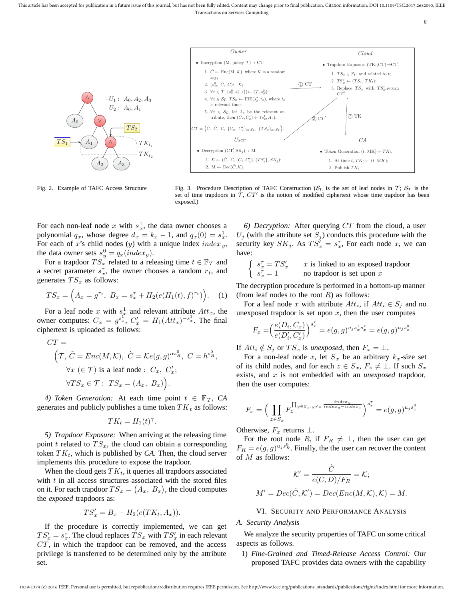6



Fig. 2. Example of TAFC Access Structure



Fig. 3. Procedure Description of TAFC Construction ( $S_L$  is the set of leaf nodes in  $\mathcal{T}$ ;  $S_T$  is the set of time trapdoors in  $T$ ,  $CT'$  is the notion of modified ciphertext whose time trapdoor has been exposed.)

For each non-leaf node x with  $s_x^1$ , the data owner chooses a polynomial  $q_x$ , whose degree  $d_x = k_x - 1$ , and  $q_x(0) = s_x^1$ . For each of x's child nodes  $(y)$  with a unique index  $index_y$ , the data owner sets  $s_y^0 = q_x(index_y)$ .

For a trapdoor  $TS_x$  related to a releasing time  $t \in \mathbb{F}_T$  and a secret parameter  $s_x^{\tau}$ , the owner chooses a random  $r_t$ , and generates  $TS_x$  as follows:

$$
TS_x = \left(A_x = g^{r_t}, B_x = s_x^{\tau} + H_2(e(H_1(t), f)^{r_t})\right). \tag{1}
$$

For a leaf node x with  $s_x^1$  and relevant attribute  $Att_x$ , the owner computes:  $C_x = g^{s_x^{\Gamma}}$ ,  $C'_x = H_1(Att_x)^{-s_x^1}$ . The final ciphertext is uploaded as follows:

$$
CT =
$$
\n
$$
\left(\mathcal{T}, \tilde{C} = Enc(M, \mathcal{K}), \ \dot{C} = Ke(g, g)^{\alpha s_R^0}, \ C = h^{s_R^0}, \right)
$$
\n
$$
\forall x (\in \mathcal{T}) \text{ is a leaf node}: C_x, C'_x;
$$
\n
$$
\forall TS_x \in \mathcal{T}: TS_x = (A_x, B_x)\right).
$$

*4) Token Generation:* At each time point  $t \in \mathbb{F}_T$ , *CA* generates and publicly publishes a time token  $TK_t$  as follows:

$$
TK_t = H_1(t)^{\gamma}.
$$

*5) Trapdoor Exposure:* When arriving at the releasing time point t related to  $TS_x$ , the cloud can obtain a corresponding token  $TK_t$ , which is published by  $CA$ . Then, the cloud server implements this procedure to expose the trapdoor.

When the cloud gets  $TK_t$ , it queries all trapdoors associated with  $t$  in all access structures associated with the stored files on it. For each trapdoor  $TS_x = (A_x, B_x)$ , the cloud computes the *exposed* trapdoors as:

$$
TS'_x = B_x - H_2(e(TK_t, A_x)).
$$

If the procedure is correctly implemented, we can get  $TS'_x = s_x^{\tau}$ . The cloud replaces  $TS_x$  with  $TS'_x$  in each relevant  $CT$ , in which the trapdoor can be removed, and the access privilege is transferred to be determined only by the attribute set.

*6) Decryption:* After querying CT from the cloud, a user  $U_j$  (with the attribute set  $S_j$ ) conducts this procedure with the security key  $SK_j$ . As  $TS'_x = s_x^{\tau}$ , For each node x, we can have:

$$
\begin{cases}\ns_x^{\tau} = TS'_x & x \text{ is linked to an exposed trapdoor} \\
s_x^{\tau} = 1 & \text{no trapdoor is set upon } x\n\end{cases}
$$

The decryption procedure is performed in a bottom-up manner (from leaf nodes to the root  $R$ ) as follows:

For a leaf node x with attribute  $Att_i$ , if  $Att_i \in S_j$  and no unexposed trapdoor is set upon  $x$ , then the user computes

$$
F_x = \left(\frac{e(D_i, C_x)}{e(D_i', C_x')}\right)^{s_x^T} = e(g, g)^{u_j s_x^1 s_x^T} = e(g, g)^{u_j s_x^0}
$$

If  $Att_i \notin S_j$  or  $TS_x$  is *unexposed*, then  $F_x = \perp$ .

For a non-leaf node x, let  $S_x$  be an arbitrary  $k_x$ -size set of its child nodes, and for each  $z \in S_x$ ,  $F_z \neq \perp$ . If such  $S_x$ exists, and x is not embedded with an *unexposed* trapdoor, then the user computes:

$$
F_x = \Big(\prod_{z \in S_x} F_z^{\prod_{y \in S_x, y \neq z} \frac{index_y}{index_y - index_z}}\Big)^{s_x^{\tau}} = e(g, g)^{u_j s_x^0}
$$

Otherwise,  $F_x$  returns  $\perp$ .

For the root node R, if  $F_R \neq \perp$ , then the user can get  $F_R = e(g, g)^{u_j s_R^0}$ . Finally, the the user can recover the content of M as follows:

$$
\mathcal{K}' = \frac{\hat{C}}{e(C, D)/F_R} = \mathcal{K};
$$
  

$$
M' = Dec(\tilde{C}, \mathcal{K}') = Dec(Enc(M, \mathcal{K}), \mathcal{K}) = M.
$$

#### VI. SECURITY AND PERFORMANCE ANALYSIS

#### *A. Security Analysis*

We analyze the security properties of TAFC on some critical aspects as follows.

1) *Fine-Grained and Timed-Release Access Control:* Our proposed TAFC provides data owners with the capability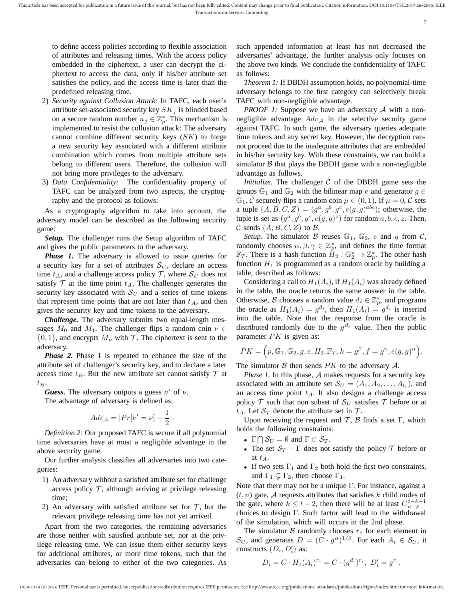to define access policies according to flexible association of attributes and releasing times. With the access policy embedded in the ciphertext, a user can decrypt the ciphertext to access the data, only if his/her attribute set satisfies the policy, and the access time is later than the predefined releasing time.

- 2) *Security against Collusion Attack:* In TAFC, each user's attribute set-associated security key  $SK_i$  is blinded based on a secure random number  $u_j \in \mathbb{Z}_p^*$ . This mechanism is implemented to resist the collusion attack: The adversary cannot combine different security keys  $(SK)$  to forge a new security key associated with a different attribute combination which comes from multiple attribute sets belong to different users. Therefore, the collusion will not bring more privileges to the adversary.
- 3) *Data Confidentiality:* The confidentiality property of TAFC can be analyzed from two aspects, the cryptography and the protocol as follows:

As a cryptography algorithm to take into account, the adversary model can be described as the following security game:

*Setup.* The challenger runs the Setup algorithm of TAFC and gives the public parameters to the adversary.

*Phase 1.* The adversary is allowed to issue queries for a security key for a set of attributes  $S_U$ , declare an access time  $t_A$ , and a challenge access policy  $\mathcal T$ , where  $\mathcal S_U$  does not satisfy  $T$  at the time point  $t_A$ . The challenger generates the security key associated with  $S_U$  and a series of time tokens that represent time points that are not later than  $t_A$ , and then gives the security key and time tokens to the adversary.

*Challenge.* The adversary submits two equal-length messages  $M_0$  and  $M_1$ . The challenger flips a random coin  $\nu \in$  $\{0, 1\}$ , and encrypts  $M_{\nu}$  with  $\mathcal{T}$ . The ciphertext is sent to the adversary.

*Phase 2.* Phase 1 is repeated to enhance the size of the attribute set of challenger's security key, and to declare a later access time  $t_B$ . But the new attribute set cannot satisfy  $\mathcal T$  at  $t_B$ .

*Guess.* The adversary outputs a guess  $\nu'$  of  $\nu$ .

The advantage of adversary is defined as:

$$
Adv_{\mathcal{A}} = |Pr[\nu' = \nu] - \frac{1}{2}|.
$$

*Definition 2:* Our proposed TAFC is secure if all polynomial time adversaries have at most a negligible advantage in the above security game.

Our further analysis classifies all adversaries into two categories:

- 1) An adversary without a satisfied attribute set for challenge access policy  $\mathcal T$ , although arriving at privilege releasing time;
- 2) An adversary with satisfied attribute set for  $\mathcal{T}$ , but the relevant privilege releasing time has not yet arrived.

Apart from the two categories, the remaining adversaries are those neither with satisfied attribute set, nor at the privilege releasing time. We can issue them either security keys for additional attributes, or more time tokens, such that the adversaries can belong to either of the two categories. As

such appended information at least has not decreased the adversaries' advantage, the further analysis only focuses on the above two kinds. We conclude the confidentiality of TAFC as follows:

*Theorem 1:* If DBDH assumption holds, no polynomial-time adversary belongs to the first category can selectively break TAFC with non-negligible advantage.

*PROOF 1:* Suppose we have an adversary A with a nonnegligible advantage  $Adv_A$  in the selective security game against TAFC. In such game, the adversary queries adequate time tokens and any secret key. However, the decryption cannot proceed due to the inadequate attributes that are embedded in his/her security key. With these constraints, we can build a simulator  $\beta$  that plays the DBDH game with a non-negligible advantage as follows.

*Initialize.* The challenger  $C$  of the DBDH game sets the groups  $\mathbb{G}_1$  and  $\mathbb{G}_2$  with the bilinear map e and generator  $g \in$  $\mathbb{G}_1$ . C securely flips a random coin  $\mu \in (0,1)$ . If  $\mu = 0$ , C sets a tuple  $(A, B, C, Z)=(g^a, g^b, g^c, e(g, g)^{abc})$ ; otherwise, the tuple is set as  $(g^a, g^b, g^c, e(g, g)^z)$  for random  $a, b, c, z$ . Then, C sends  $(A, B, C, Z)$  to B.

*Setup.* The simulator B reuses  $\mathbb{G}_1$ ,  $\mathbb{G}_2$ , e and g from C, randomly chooses  $\alpha, \beta, \gamma \in \mathbb{Z}_p^*$ , and defines the time format  $\mathbb{F}_T$ . There is a hash function  $H_2: \mathbb{G}_2^* \to \mathbb{Z}_p^*$ . The other hash function  $H_1$  is programmed as a random oracle by building a table, described as follows:

Considering a call to  $H_1(A_i)$ , if  $H_1(A_i)$  was already defined in the table, the oracle returns the same answer in the table. Otherwise, B chooses a random value  $d_i \in \mathbb{Z}_p^*$ , and programs the oracle as  $H_1(A_i) = g^{d_i}$ , then  $H_1(A_i) = g^{d_i}$  is inserted into the table. Note that the response from the oracle is distributed randomly due to the  $g^{d_i}$  value. Then the public parameter  $PK$  is given as:

$$
PK = (p, \mathbb{G}_1, \mathbb{G}_2, g, e, H_2, \mathbb{F}_T, h = g^{\beta}, f = g^{\gamma}, e(g, g)^{\alpha}).
$$

The simulator  $\beta$  then sends  $PK$  to the adversary  $\mathcal{A}$ .

*Phase 1.* In this phase, A makes requests for a security key associated with an attribute set  $S_U = (A_1, A_2, \ldots, A_{l_1})$ , and an access time point  $t_A$ . It also designs a challenge access policy  $\mathcal T$  such that non subset of  $\mathcal S_U$  satisfies  $\mathcal T$  before or at  $t_A$ . Let  $S_T$  denote the attribute set in  $\mathcal{T}$ .

Upon receiving the request and  $T$ ,  $\beta$  finds a set  $\Gamma$ , which holds the following constraints:

- $\Gamma \cap \mathcal{S}_U = \emptyset$  and  $\Gamma \subset \mathcal{S}_T$ .
- The set  $S_T \Gamma$  does not satisfy the policy  $\mathcal T$  before or at  $t_A$ .
- If two sets  $\Gamma_1$  and  $\Gamma_2$  both hold the first two constraints, and  $\Gamma_1 \subsetneq \Gamma_2$ , then choose  $\Gamma_1$ .

Note that there may not be a unique  $\Gamma$ . For instance, against a  $(t, n)$  gate, A requests attributes that satisfies k child nodes of the gate, where  $k \le t - 2$ , then there will be at least  $C_{n-k}^{t-k-1}$ choices to design Γ. Such factor will lead to the withdrawal of the simulation, which will occurs in the 2nd phase.

The simulator  $\beta$  randomly chooses  $r_i$  for each element in  $S_U$ , and generates  $D = (C \cdot g^{\alpha})^{1/\beta}$ . For each  $A_i \in S_U$ , it constructs  $(D_i, D'_i)$  as:

$$
D_i = C \cdot H_1(A_i)^{r_i} = C \cdot (g^{d_i})^{r_i}, \ D'_i = g^{r_i}.
$$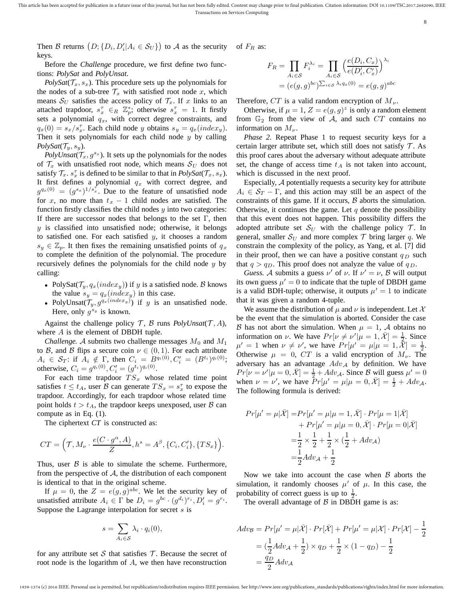Then B returns  $(D; \{D_i, D'_i | A_i \in S_U\})$  to A as the security keys. of  $F_R$  as:

Before the *Challenge* procedure, we first define two functions: *PolySat* and *PolyUnsat*.

 $PolySat(\mathcal{T}_x, s_x)$ . This procedure sets up the polynomials for the nodes of a sub-tree  $\mathcal{T}_x$  with satisfied root node x, which means  $S_U$  satisfies the access policy of  $\mathcal{T}_x$ . If x links to an attached trapdoor,  $s_x^{\tau} \in_R \mathbb{Z}_p^*$ ; otherwise  $s_x^{\tau} = 1$ . It firstly sets a polynomial  $q_x$ , with correct degree constraints, and  $q_x(0) = s_x/s_x^{\tau}$ . Each child node y obtains  $s_y = q_x (index_y)$ . Then it sets polynomials for each child node  $y$  by calling  $PolySat(\mathcal{T}_y, s_y)$ .

 $PolyUnsat(\mathcal{T}_x, g^{s_x})$ . It sets up the polynomials for the nodes of  $\mathcal{T}_x$  with unsatisfied root node, which means  $\mathcal{S}_U$  does not satisfy  $\mathcal{T}_x$ .  $s_x^{\tau}$  is defined to be similar to that in *PolySat*( $\mathcal{T}_x$ ,  $s_x$ ). It first defines a polynomial  $q_x$  with correct degree, and  $g^{q_x(0)} = (g^{s_x})^{1/s_x^T}$ . Due to the feature of unsatisfied node for x, no more than  $t_x - 1$  child nodes are satisfied. The function firstly classifies the child nodes  $y$  into two categories: If there are successor nodes that belongs to the set  $\Gamma$ , then  $y$  is classified into unsatisfied node; otherwise, it belongs to satisfied one. For each satisfied  $y$ , it chooses a random  $s_y \in \mathbb{Z}_p$ . It then fixes the remaining unsatisfied points of  $q_x$ to complete the definition of the polynomial. The procedure recursively defines the polynomials for the child node  $y$  by calling:

- PolySat( $\mathcal{T}_y$ ,  $q_x(index_y)$ ) if y is a satisfied node. B knows the value  $s_y = q_x(index_y)$  in this case.
- PolyUnsat( $\mathcal{T}_y, g^{q_x(index_y)}$ ) if y is an unsatisfied node. Here, only  $g^{s_y}$  is known.

Against the challenge policy  $T$ ,  $\beta$  runs *PolyUnsat*( $T$ ,  $A$ ), where A is the element of DBDH tuple.

*Challenge.* A submits two challenge messages  $M_0$  and  $M_1$ to B, and B flips a secure coin  $\nu \in (0,1)$ . For each attribute  $A_i \in S_T$ : if  $A_i \notin \Gamma$ , then  $C_i = B^{q_i(0)}, C'_i = (B^{t_i})^{q_i(0)}$ ; otherwise,  $C_i = g^{q_i(0)}$ ,  $C'_i = (g^{t_i})^{q_i(0)}$ .

For each time trapdoor  $TS_x$  whose related time point satisfies  $t \le t_A$ , user B can generate  $TS_x = s_x^{\tau}$  to expose the trapdoor. Accordingly, for each trapdoor whose related time point holds  $t>t_A$ , the trapdoor keeps unexposed, user B can compute as in Eq. (1).

The ciphertext *CT* is constructed as:

$$
CT = \Big( \mathcal{T}, M_\nu \cdot \frac{e(C \cdot g^\alpha, A)}{Z}, h^s = A^\beta, \{C_i, C_i'\}, \{TS_x\} \Big).
$$

Thus, user  $\beta$  is able to simulate the scheme. Furthermore, from the perspective of  $A$ , the distribution of each component is identical to that in the original scheme.

If  $\mu = 0$ , the  $Z = e(g, g)^{abc}$ . We let the security key of unsatisfied attribute  $A_i \in \Gamma$  be  $D_i = g^{bc} \cdot (g^{d_i})^{r_i}$ ,  $D'_i = g^{r_i}$ . Suppose the Lagrange interpolation for secret s is

$$
s = \sum_{A_i \in \mathcal{S}} \lambda_i \cdot q_i(0),
$$

for any attribute set S that satisfies  $\mathcal T$ . Because the secret of root node is the logarithm of A, we then have reconstruction

$$
F_R = \prod_{A_i \in S} F_i^{\lambda_i} = \prod_{A_i \in S} \left( \frac{e(D_i, C_x)}{e(D_i', C_x')} \right)^{\lambda_i}
$$
  
=  $(e(g, g)^{bc})^{\sum_{i \in S} \lambda_i q_x(0)} = e(g, g)^{abc}$ 

Therefore, CT is a valid random encryption of  $M_{\nu}$ .

Otherwise, if  $\mu = 1$ ,  $Z = e(g, g)^z$  is only a random element from  $\mathbb{G}_2$  from the view of A, and such CT contains no information on  $M_{\nu}$ .

*Phase 2.* Repeat Phase 1 to request security keys for a certain larger attribute set, which still does not satisfy  $T$ . As this proof cares about the adversary without adequate attribute set, the change of access time  $t_A$  is not taken into account, which is discussed in the next proof.

Especially, A potentially requests a security key for attribute  $A_i \in S_T - \Gamma$ , and this action may still be an aspect of the constraints of this game. If it occurs,  $\beta$  aborts the simulation. Otherwise, it continues the game. Let q denote the possibility that this event does not happen. This possibility differs the adopted attribute set  $S_U$  with the challenge policy  $\mathcal T$ . In general, smaller  $S_U$  and more complex  $\mathcal T$  bring larger q. We constrain the complexity of the policy, as Yang, et al. [7] did in their proof, then we can have a positive constant  $q_D$  such that  $q>q_D$ . This proof does not analyze the value of  $q_D$ .

*Guess.* A submits a guess  $\nu'$  of  $\nu$ . If  $\nu' = \nu$ , B will output its own guess  $\mu' = 0$  to indicate that the tuple of DBDH game is a valid BDH-tuple; otherwise, it outputs  $\mu' = 1$  to indicate that it was given a random 4-tuple.

We assume the distribution of  $\mu$  and  $\nu$  is independent. Let X be the event that the simulation is aborted. Consider the case B has not abort the simulation. When  $\mu = 1$ , A obtains no information on *ν*. We have  $Pr[\nu \neq \nu' | \mu = 1, \overline{X}] = \frac{1}{2}$ . Since  $\mu' = 1$  when  $\nu \neq \nu'$ , we have  $Pr[\mu' = \mu | \mu = 1, \mathcal{X}] = \frac{1}{2}$ . Otherwise  $\mu = 0$ , CT is a valid encryption of  $M_{\nu}$ . The adversary has an advantage  $Adv_A$  by definition. We have  $Pr[\nu = \nu' | \mu = 0, \bar{\mathcal{X}}] = \frac{1}{2} + Adv_{\mathcal{A}}$ . Since B will guess  $\mu' = 0$ when  $\nu = \nu'$ , we have  $Pr[\mu' = \mu | \mu = 0, \bar{\mathcal{X}}] = \frac{1}{2} + Adv_{\mathcal{A}}$ . The following formula is derived:

$$
Pr[\mu' = \mu | \bar{\mathcal{X}}] = Pr[\mu' = \mu | \mu = 1, \bar{\mathcal{X}}] \cdot Pr[\mu = 1 | \bar{\mathcal{X}}] + Pr[\mu' = \mu | \mu = 0, \bar{\mathcal{X}}] \cdot Pr[\mu = 0 | \bar{\mathcal{X}}] = \frac{1}{2} \times \frac{1}{2} + \frac{1}{2} \times (\frac{1}{2} + Adv_{\mathcal{A}}) = \frac{1}{2} Adv_{\mathcal{A}} + \frac{1}{2}
$$

Now we take into account the case when  $\beta$  aborts the simulation, it randomly chooses  $\mu'$  of  $\mu$ . In this case, the probability of correct guess is up to  $\frac{1}{2}$ .

The overall advantage of  $\beta$  in DBDH game is as:

$$
Adv_{\mathcal{B}} = Pr[\mu' = \mu | \bar{\mathcal{X}}] \cdot Pr[\bar{\mathcal{X}}] + Pr[\mu' = \mu | \mathcal{X}] \cdot Pr[\mathcal{X}] - \frac{1}{2}
$$

$$
= (\frac{1}{2} Adv_{\mathcal{A}} + \frac{1}{2}) \times q_D + \frac{1}{2} \times (1 - q_D) - \frac{1}{2}
$$

$$
= \frac{q_D}{2} Adv_{\mathcal{A}}
$$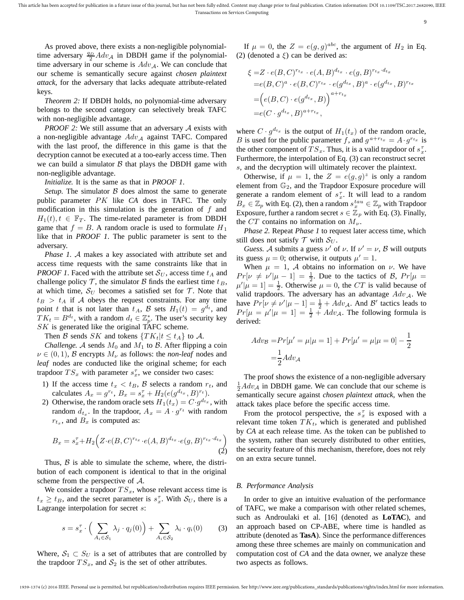9

As proved above, there exists a non-negligible polynomialtime adversary  $\frac{q_D}{2} A dv_A$  in DBDH game if the polynomialtime adversary in our scheme is  $Adv_{\mathcal{A}}$ . We can conclude that our scheme is semantically secure against *chosen plaintext attack*, for the adversary that lacks adequate attribute-related keys.

*Theorem 2:* If DBDH holds, no polynomial-time adversary belongs to the second category can selectively break TAFC with non-negligible advantage.

*PROOF 2:* We still assume that an adversary A exists with a non-negligible advantage  $Adv_{\mathcal{A}}$  against TAFC. Compared with the last proof, the difference in this game is that the decryption cannot be executed at a too-early access time. Then we can build a simulator  $\beta$  that plays the DBDH game with non-negligible advantage.

*Initialize.* It is the same as that in *PROOF 1*.

*Setup.* The simulator  $\beta$  does almost the same to generate public parameter PK like *CA* does in TAFC. The only modification in this simulation is the generation of f and  $H_1(t), t \in \mathbb{F}_T$ . The time-related parameter is from DBDH game that  $f = B$ . A random oracle is used to formulate  $H_1$ like that in *PROOF 1*. The public parameter is sent to the adversary.

*Phase 1.* A makes a key associated with attribute set and access time requests with the same constraints like that in *PROOF 1*. Faced with the attribute set  $S_U$ , access time  $t_A$  and challenge policy  $\mathcal T$ , the simulator  $\mathcal B$  finds the earliest time  $t_B$ , at which time,  $S_U$  becomes a satisfied set for  $T$ . Note that  $t_B > t_A$  if A obeys the request constraints. For any time point t that is not later than  $t_A$ , B sets  $H_1(t) = g^{d_t}$ , and  $TK_t = B^{d_t}$ , with a random  $d_t \in \mathbb{Z}_p^*$ . The user's security key SK is generated like the original TAFC scheme.

Then B sends SK and tokens  $\{TK_t | t \leq t_A\}$  to A.

*Challenge.* A sends  $M_0$  and  $M_1$  to  $\beta$ . After flipping a coin  $\nu \in (0, 1)$ , B encrypts  $M_{\nu}$  as follows: the *non-leaf* nodes and *leaf* nodes are conducted like the original scheme; for each trapdoor  $TS_x$  with parameter  $s_x^{\tau}$ , we consider two cases:

- 1) If the access time  $t_x < t_B$ , B selects a random  $r_t$ , and calculates  $A_x = g^{r_t}$ ,  $B_x = s_x^{\tau} + H_2(e(g^{d_{t_x}}, B)^{r_t})$ .
- 2) Otherwise, the random oracle sets  $H_1(t_x) = C \cdot g^{d_{tx}}$ , with random  $d_{t_x}$ . In the trapdoor,  $A_x = A \cdot g^{r_t}$  with random  $r_{t_x}$ , and  $B_x$  is computed as:

$$
B_x = s_x^{\tau} + H_2\left(Z \cdot e(B, C)^{r_{t_x}} \cdot e(A, B)^{d_{t_x}} \cdot e(g, B)^{r_{t_x} \cdot d_{t_x}}\right)
$$
\n(2)

Thus,  $\beta$  is able to simulate the scheme, where, the distribution of each component is identical to that in the original scheme from the perspective of A.

We consider a trapdoor  $TS_x$ , whose relevant access time is  $t_x \ge t_B$ , and the secret parameter is  $s_x^{\tau}$ . With  $S_U$ , there is a Lagrange interpolation for secret s:

$$
s = s_x^{\tau} \cdot \left( \sum_{A_i \in S_1} \lambda_j \cdot q_j(0) \right) + \sum_{A_i \in S_2} \lambda_i \cdot q_i(0) \tag{3}
$$

Where,  $S_1 \subset S_U$  is a set of attributes that are controlled by the trapdoor  $TS_x$ , and  $S_2$  is the set of other attributes.

If  $\mu = 0$ , the  $Z = e(g, g)^{abc}$ , the argument of  $H_2$  in Eq. (2) (denoted a  $\xi$ ) can be derived as:

$$
\xi = Z \cdot e(B, C)^{r_{t_x}} \cdot e(A, B)^{d_{t_x}} \cdot e(g, B)^{r_{t_x} \cdot d_{t_x}}
$$
  
\n
$$
= e(B, C)^a \cdot e(B, C)^{r_{t_x}} \cdot e(g^{d_{t_x}}, B)^a \cdot e(g^{d_{t_x}}, B)^{r_{t_x}}
$$
  
\n
$$
= (e(B, C) \cdot e(g^{d_{t_x}}, B))^{a+r_{t_x}}
$$
  
\n
$$
= e(C \cdot g^{d_{t_x}}, B)^{a+r_{t_x}},
$$

where  $C \cdot g^{d_{t_x}}$  is the output of  $H_1(t_x)$  of the random oracle, B is used for the public parameter f, and  $g^{a+r_{t_x}} = A \cdot g^{r_{t_x}}$  is the other component of  $TS_x$ . Thus, it is a valid trapdoor of  $s_x^{\tau}$ . Furthermore, the interpolation of Eq. (3) can reconstruct secret s, and the decryption will ultimately recover the plaintext.

Otherwise, if  $\mu = 1$ , the  $Z = e(g, g)^z$  is only a random element from  $\mathbb{G}_2$ , and the Trapdoor Exposure procedure will generate a random element of  $s_x^{\tau}$ . It will lead to a random  $B_x \in \mathbb{Z}_p$  with Eq. (2), then a random  $s_x^{tau} \in \mathbb{Z}_p$  with Trapdoor Exposure, further a random secret  $s \in \mathbb{Z}_p$  with Eq. (3). Finally, the CT contains no information on  $M_{\nu}$ .

*Phase 2.* Repeat *Phase 1* to request later access time, which still does not satisfy  $T$  with  $S_U$ .

*Guess.* A submits a guess  $\nu'$  of  $\nu$ . If  $\nu' = \nu$ , B will outputs its guess  $\mu = 0$ ; otherwise, it outputs  $\mu' = 1$ .

When  $\mu = 1$ , A obtains no information on  $\nu$ . We have  $Pr[\nu \neq \nu'|\mu-1] = \frac{1}{2}$ . Due to the tactics of B,  $Pr[\mu =$  $\mu'|\mu = 1$  =  $\frac{1}{2}$ . Otherwise  $\mu = 0$ , the CT is valid because of valid trapdoors. The adversary has an advantage  $Adv_{\mathcal{A}}$ . We have  $Pr[\nu \neq \nu'|\mu - 1] = \frac{1}{2} + Adv_{\mathcal{A}}$ . And  $\mathcal{B}'$  tactics leads to  $Pr[\mu = \mu'|\mu = 1] = \frac{1}{2} + Adv_{\mathcal{A}}$ . The following formula is derived:

$$
Adv_{\mathcal{B}} = Pr[\mu' = \mu | \mu = 1] + Pr[\mu' = \mu | \mu = 0] - \frac{1}{2}
$$

$$
= \frac{1}{2} Adv_{\mathcal{A}}
$$

The proof shows the existence of a non-negligible adversary  $\frac{1}{2}Adv_A$  in DBDH game. We can conclude that our scheme is semantically secure against *chosen plaintext attack*, when the attack takes place before the specific access time.

From the protocol perspective, the  $s_x^{\tau}$  is exposed with a relevant time token  $TK_t$ , which is generated and published by *CA* at each release time. As the token can be published to the system, rather than securely distributed to other entities, the security feature of this mechanism, therefore, does not rely on an extra secure tunnel.

## *B. Performance Analysis*

In order to give an intuitive evaluation of the performance of TAFC, we make a comparison with other related schemes, such as Androulaki et al. [16] (denoted as **LoTAC**), and an approach based on CP-ABE, where time is handled as attribute (denoted as **TasA**). Since the performance differences among these three schemes are mainly on communication and computation cost of *CA* and the data owner, we analyze these two aspects as follows.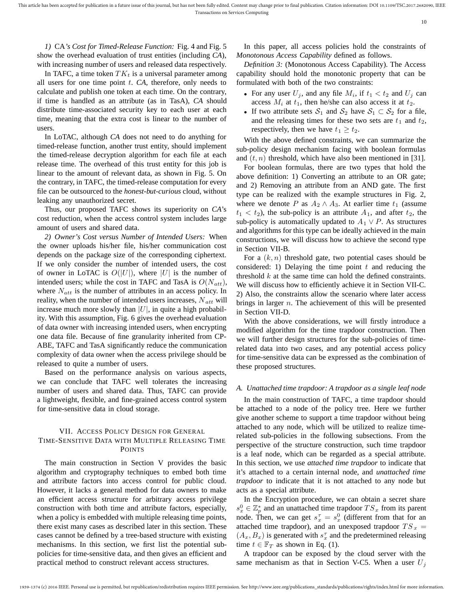*1)* CA*'s Cost for Timed-Release Function:* Fig. 4 and Fig. 5 show the overhead evaluation of trust entities (including *CA*), with increasing number of users and released data respectively.

In TAFC, a time token  $TK_t$  is a universal parameter among all users for one time point t. *CA*, therefore, only needs to calculate and publish one token at each time. On the contrary, if time is handled as an attribute (as in TasA), *CA* should distribute time-associated security key to each user at each time, meaning that the extra cost is linear to the number of users.

In LoTAC, although *CA* does not need to do anything for timed-release function, another trust entity, should implement the timed-release decryption algorithm for each file at each release time. The overhead of this trust entity for this job is linear to the amount of relevant data, as shown in Fig. 5. On the contrary, in TAFC, the timed-release computation for every file can be outsourced to the *honest-but-curious* cloud, without leaking any unauthorized secret.

Thus, our proposed TAFC shows its superiority on *CA*'s cost reduction, when the access control system includes large amount of users and shared data.

*2) Owner's Cost versus Number of Intended Users:* When the owner uploads his/her file, his/her communication cost depends on the package size of the corresponding ciphertext. If we only consider the number of intended users, the cost of owner in LoTAC is  $O(|U|)$ , where |U| is the number of intended users; while the cost in TAFC and TasA is  $O(N_{att})$ , where  $N_{att}$  is the number of attributes in an access policy. In reality, when the number of intended users increases,  $N_{att}$  will increase much more slowly than  $|U|$ , in quite a high probability. With this assumption, Fig. 6 gives the overhead evaluation of data owner with increasing intended users, when encrypting one data file. Because of fine granularity inherited from CP-ABE, TAFC and TasA significantly reduce the communication complexity of data owner when the access privilege should be released to quite a number of users.

Based on the performance analysis on various aspects, we can conclude that TAFC well tolerates the increasing number of users and shared data. Thus, TAFC can provide a lightweight, flexible, and fine-grained access control system for time-sensitive data in cloud storage.

# VII. ACCESS POLICY DESIGN FOR GENERAL TIME-SENSITIVE DATA WITH MULTIPLE RELEASING TIME POINTS

The main construction in Section V provides the basic algorithm and cryptography techniques to embed both time and attribute factors into access control for public cloud. However, it lacks a general method for data owners to make an efficient access structure for arbitrary access privilege construction with both time and attribute factors, especially, when a policy is embedded with multiple releasing time points, there exist many cases as described later in this section. These cases cannot be defined by a tree-based structure with existing mechanisms. In this section, we first list the potential subpolicies for time-sensitive data, and then gives an efficient and practical method to construct relevant access structures.

In this paper, all access policies hold the constraints of *Monotonous Access Capability* defined as follows.

*Definition 3:* (Monotonous Access Capability). The Access capability should hold the monotonic property that can be formulated with both of the two constraints:

- For any user  $U_i$ , and any file  $M_i$ , if  $t_1 < t_2$  and  $U_i$  can access  $M_i$  at  $t_1$ , then he/she can also access it at  $t_2$ .
- If two attribute sets  $S_1$  and  $S_2$  have  $S_1 \subset S_2$  for a file, and the releasing times for these two sets are  $t_1$  and  $t_2$ , respectively, then we have  $t_1 \geq t_2$ .

With the above defined constraints, we can summarize the sub-policy design mechanism facing with boolean formulas and  $(t, n)$  threshold, which have also been mentioned in [31].

For boolean formulas, there are two types that hold the above definition: 1) Converting an attribute to an OR gate; and 2) Removing an attribute from an AND gate. The first type can be realized with the example structures in Fig. 2, where we denote P as  $A_2 \wedge A_3$ . At earlier time  $t_1$  (assume  $t_1 < t_2$ ), the sub-policy is an attribute  $A_1$ , and after  $t_2$ , the sub-policy is automatically updated to  $A_1 \vee P$ . As structures and algorithms for this type can be ideally achieved in the main constructions, we will discuss how to achieve the second type in Section VII-B.

For a  $(k, n)$  threshold gate, two potential cases should be considered: 1) Delaying the time point  $t$  and reducing the threshold  $k$  at the same time can hold the defined constraints. We will discuss how to efficiently achieve it in Section VII-C. 2) Also, the constraints allow the scenario where later access brings in larger  $n$ . The achievement of this will be presented in Section VII-D.

With the above considerations, we will firstly introduce a modified algorithm for the time trapdoor construction. Then we will further design structures for the sub-policies of timerelated data into two cases, and any potential access policy for time-sensitive data can be expressed as the combination of these proposed structures.

# *A. Unattached time trapdoor: A trapdoor as a single leaf node*

In the main construction of TAFC, a time trapdoor should be attached to a node of the policy tree. Here we further give another scheme to support a time trapdoor without being attached to any node, which will be utilized to realize timerelated sub-policies in the following subsections. From the perspective of the structure construction, such time trapdoor is a leaf node, which can be regarded as a special attribute. In this section, we use *attached time trapdoor* to indicate that it's attached to a certain internal node, and *unattached time trapdoor* to indicate that it is not attached to any node but acts as a special attribute.

In the Encryption procedure, we can obtain a secret share  $s_x^0 \in \mathbb{Z}_p^*$  and an unattached time trapdoor  $TS_x$  from its parent node. Then, we can get  $s_x^{\tau} = s_x^0$  (different from that for an attached time trapdoor), and an unexposed trapdoor  $TS_x =$  $(A_x, B_x)$  is generated with  $s_x^{\tau}$  and the predetermined releasing time  $t \in \mathbb{F}_T$  as shown in Eq. (1).

A trapdoor can be exposed by the cloud server with the same mechanism as that in Section V-C5. When a user  $U_i$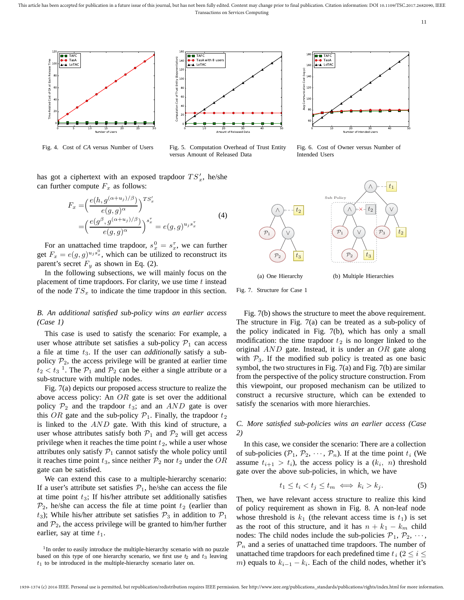This article has been accepted for publication in a future issue of this journal, but has not been fully edited. Content may change prior to final publication. Citation information: DOI 10.1109/TSC.2017.2682090, IEEE Transactions on Services Computing



Fig. 4. Cost of *CA* versus Number of Users



Fig. 5. Computation Overhead of Trust Entity versus Amount of Released Data

has got a ciphertext with an exposed trapdoor  $TS'_x$ , he/she can further compute  $F_x$  as follows:

$$
F_x = \left(\frac{e(h, g^{(\alpha+u_j)/\beta})}{e(g, g)^{\alpha}}\right)^{TS'_x}
$$
  
= 
$$
\left(\frac{e(g^{\beta}, g^{(\alpha+u_j)/\beta})}{e(g, g)^{\alpha}}\right)^{s_x^{\tau}} = e(g, g)^{u_j s_x^{\tau}}
$$
(4)

For an unattached time trapdoor,  $s_x^0 = s_x^{\tau}$ , we can further get  $F_x = e(g, g)^{u_j s_x^0}$ , which can be utilized to reconstruct its parent's secret  $F_y$  as shown in Eq. (2).

In the following subsections, we will mainly focus on the placement of time trapdoors. For clarity, we use time  $t$  instead of the node  $TS_x$  to indicate the time trapdoor in this section.

# *B. An additional satisfied sub-policy wins an earlier access (Case 1)*

This case is used to satisfy the scenario: For example, a user whose attribute set satisfies a sub-policy  $\mathcal{P}_1$  can access a file at time t3. If the user can *additionally* satisfy a subpolicy  $P_2$ , the access privilege will be granted at earlier time  $t_2 < t_3$ <sup>1</sup>. The  $P_1$  and  $P_2$  can be either a single attribute or a sub-structure with multiple nodes.

Fig. 7(a) depicts our proposed access structure to realize the above access policy: An  $OR$  gate is set over the additional policy  $\mathcal{P}_2$  and the trapdoor  $t_3$ ; and an AND gate is over this OR gate and the sub-policy  $P_1$ . Finally, the trapdoor  $t_2$ is linked to the AND gate. With this kind of structure, a user whose attributes satisfy both  $P_1$  and  $P_2$  will get access privilege when it reaches the time point  $t_2$ , while a user whose attributes only satisfy  $P_1$  cannot satisfy the whole policy until it reaches time point  $t_3$ , since neither  $\mathcal{P}_2$  nor  $t_2$  under the OR gate can be satisfied.

We can extend this case to a multiple-hierarchy scenario: If a user's attribute set satisfies  $P_1$ , he/she can access the file at time point  $t_3$ ; If his/her attribute set additionally satisfies  $\mathcal{P}_2$ , he/she can access the file at time point  $t_2$  (earlier than  $t_3$ ); While his/her attribute set satisfies  $P_3$  in addition to  $P_1$ and  $P_2$ , the access privilege will be granted to him/her further earlier, say at time  $t_1$ .



Fig. 6. Cost of Owner versus Number of Intended Users



Fig. 7. Structure for Case 1

Fig. 7(b) shows the structure to meet the above requirement. The structure in Fig. 7(a) can be treated as a sub-policy of the policy indicated in Fig. 7(b), which has only a small modification: the time trapdoor  $t_2$  is no longer linked to the original  $AND$  gate. Instead, it is under an  $OR$  gate along with  $P_3$ . If the modified sub policy is treated as one basic symbol, the two structures in Fig. 7(a) and Fig. 7(b) are similar from the perspective of the policy structure construction. From this viewpoint, our proposed mechanism can be utilized to construct a recursive structure, which can be extended to satisfy the scenarios with more hierarchies.

# *C. More satisfied sub-policies wins an earlier access (Case 2)*

In this case, we consider the scenario: There are a collection of sub-policies  $(\mathcal{P}_1, \mathcal{P}_2, \cdots, \mathcal{P}_n)$ . If at the time point  $t_i$  (We assume  $t_{i+1} > t_i$ , the access policy is a  $(k_i, n)$  threshold gate over the above sub-policies, in which, we have

$$
t_1 \le t_i < t_j \le t_m \iff k_i > k_j. \tag{5}
$$

Then, we have relevant access structure to realize this kind of policy requirement as shown in Fig. 8. A non-leaf node whose threshold is  $k_1$  (the relevant access time is  $t_1$ ) is set as the root of this structure, and it has  $n + k_1 - k_m$  child nodes: The child nodes include the sub-policies  $\mathcal{P}_1, \mathcal{P}_2, \cdots$ ,  $\mathcal{P}_n$  and a series of unattached time trapdoors. The number of unattached time trapdoors for each predefined time  $t_i$  ( $2 \le i \le$ m) equals to  $k_{i-1} - k_i$ . Each of the child nodes, whether it's

<sup>&</sup>lt;sup>1</sup>In order to easily introduce the multiple-hierarchy scenario with no puzzle based on this type of one hierarchy scenario, we first use  $t_2$  and  $t_3$  leaving  $t_1$  to be introduced in the multiple-hierarchy scenario later on.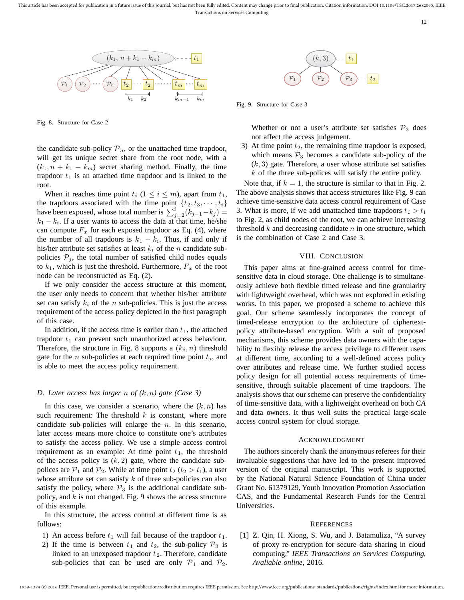

Fig. 8. Structure for Case 2

the candidate sub-policy  $\mathcal{P}_n$ , or the unattached time trapdoor, will get its unique secret share from the root node, with a  $(k_1, n + k_1 - k_m)$  secret sharing method. Finally, the time trapdoor  $t_1$  is an attached time trapdoor and is linked to the root.

When it reaches time point  $t_i$  ( $1 \le i \le m$ ), apart from  $t_1$ , the trapdoors associated with the time point  $\{t_2, t_3, \dots, t_i\}$ have been exposed, whose total number is  $\sum_{j=2}^{i} (k_{j-1} - k_j) =$  $k_1 - k_i$ . If a user wants to access the data at that time, he/she can compute  $F_x$  for each exposed trapdoor as Eq. (4), where the number of all trapdoors is  $k_1 - k_i$ . Thus, if and only if his/her attribute set satisfies at least  $k_i$  of the n candidate subpolicies  $P_i$ , the total number of satisfied child nodes equals to  $k_1$ , which is just the threshold. Furthermore,  $F_x$  of the root node can be reconstructed as Eq. (2).

If we only consider the access structure at this moment, the user only needs to concern that whether his/her attribute set can satisfy  $k_i$  of the n sub-policies. This is just the access requirement of the access policy depicted in the first paragraph of this case.

In addition, if the access time is earlier than  $t_1$ , the attached trapdoor  $t_1$  can prevent such unauthorized access behaviour. Therefore, the structure in Fig. 8 supports a  $(k_i, n)$  threshold gate for the *n* sub-policies at each required time point  $t_i$ , and is able to meet the access policy requirement.

#### *D. Later access has larger* n *of (*k, n*) gate (Case 3)*

In this case, we consider a scenario, where the  $(k, n)$  has such requirement: The threshold  $k$  is constant, where more candidate sub-policies will enlarge the  $n$ . In this scenario, later access means more choice to constitute one's attributes to satisfy the access policy. We use a simple access control requirement as an example: At time point  $t_1$ , the threshold of the access policy is  $(k, 2)$  gate, where the candidate subpolices are  $P_1$  and  $P_2$ . While at time point  $t_2$  ( $t_2 > t_1$ ), a user whose attribute set can satisfy  $k$  of three sub-policies can also satisfy the policy, where  $\mathcal{P}_3$  is the additional candidate subpolicy, and  $k$  is not changed. Fig. 9 shows the access structure of this example.

In this structure, the access control at different time is as follows:

- 1) An access before  $t_1$  will fail because of the trapdoor  $t_1$ .
- 2) If the time is between  $t_1$  and  $t_2$ , the sub-policy  $\mathcal{P}_3$  is linked to an unexposed trapdoor  $t_2$ . Therefore, candidate sub-policies that can be used are only  $\mathcal{P}_1$  and  $\mathcal{P}_2$ .



12

Fig. 9. Structure for Case 3

Whether or not a user's attribute set satisfies  $\mathcal{P}_3$  does not affect the access judgement.

3) At time point  $t_2$ , the remaining time trapdoor is exposed, which means  $\mathcal{P}_3$  becomes a candidate sub-policy of the  $(k, 3)$  gate. Therefore, a user whose attribute set satisfies k of the three sub-polices will satisfy the entire policy.

Note that, if  $k = 1$ , the structure is similar to that in Fig. 2. The above analysis shows that access structures like Fig. 9 can achieve time-sensitive data access control requirement of Case 3. What is more, if we add unattached time trapdoors  $t_i > t_1$ to Fig. 2, as child nodes of the root, we can achieve increasing threshold  $k$  and decreasing candidate  $n$  in one structure, which is the combination of Case 2 and Case 3.

## VIII. CONCLUSION

This paper aims at fine-grained access control for timesensitive data in cloud storage. One challenge is to simultaneously achieve both flexible timed release and fine granularity with lightweight overhead, which was not explored in existing works. In this paper, we proposed a scheme to achieve this goal. Our scheme seamlessly incorporates the concept of timed-release encryption to the architecture of ciphertextpolicy attribute-based encryption. With a suit of proposed mechanisms, this scheme provides data owners with the capability to flexibly release the access privilege to different users at different time, according to a well-defined access policy over attributes and release time. We further studied access policy design for all potential access requirements of timesensitive, through suitable placement of time trapdoors. The analysis shows that our scheme can preserve the confidentiality of time-sensitive data, with a lightweight overhead on both *CA* and data owners. It thus well suits the practical large-scale access control system for cloud storage.

#### ACKNOWLEDGMENT

The authors sincerely thank the anonymous referees for their invaluable suggestions that have led to the present improved version of the original manuscript. This work is supported by the National Natural Science Foundation of China under Grant No. 61379129, Youth Innovation Promotion Association CAS, and the Fundamental Research Funds for the Central Universities.

## **REFERENCES**

[1] Z. Qin, H. Xiong, S. Wu, and J. Batamuliza, "A survey of proxy re-encryption for secure data sharing in cloud computing," *IEEE Transactions on Services Computing, Avaliable online*, 2016.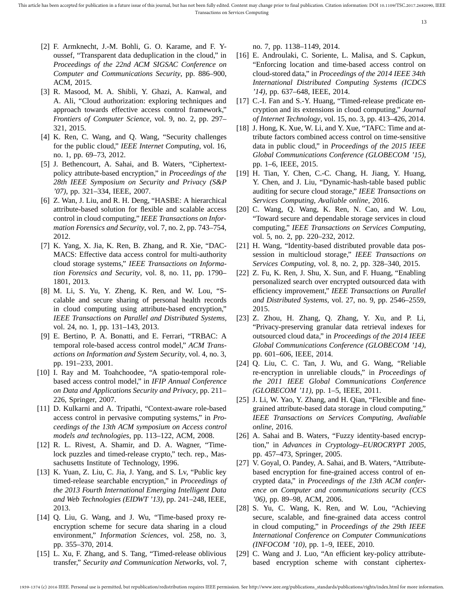- [2] F. Armknecht, J.-M. Bohli, G. O. Karame, and F. Youssef, "Transparent data deduplication in the cloud," in *Proceedings of the 22nd ACM SIGSAC Conference on Computer and Communications Security*, pp. 886–900, ACM, 2015.
- [3] R. Masood, M. A. Shibli, Y. Ghazi, A. Kanwal, and A. Ali, "Cloud authorization: exploring techniques and approach towards effective access control framework," *Frontiers of Computer Science*, vol. 9, no. 2, pp. 297– 321, 2015.
- [4] K. Ren, C. Wang, and Q. Wang, "Security challenges for the public cloud," *IEEE Internet Computing*, vol. 16, no. 1, pp. 69–73, 2012.
- [5] J. Bethencourt, A. Sahai, and B. Waters, "Ciphertextpolicy attribute-based encryption," in *Proceedings of the 28th IEEE Symposium on Security and Privacy (S&P '07)*, pp. 321–334, IEEE, 2007.
- [6] Z. Wan, J. Liu, and R. H. Deng, "HASBE: A hierarchical attribute-based solution for flexible and scalable access control in cloud computing," *IEEE Transactions on Information Forensics and Security*, vol. 7, no. 2, pp. 743–754, 2012.
- [7] K. Yang, X. Jia, K. Ren, B. Zhang, and R. Xie, "DAC-MACS: Effective data access control for multi-authority cloud storage systems," *IEEE Transactions on Information Forensics and Security*, vol. 8, no. 11, pp. 1790– 1801, 2013.
- [8] M. Li, S. Yu, Y. Zheng, K. Ren, and W. Lou, "Scalable and secure sharing of personal health records in cloud computing using attribute-based encryption," *IEEE Transactions on Parallel and Distributed Systems*, vol. 24, no. 1, pp. 131–143, 2013.
- [9] E. Bertino, P. A. Bonatti, and E. Ferrari, "TRBAC: A temporal role-based access control model," *ACM Transactions on Information and System Security*, vol. 4, no. 3, pp. 191–233, 2001.
- [10] I. Ray and M. Toahchoodee, "A spatio-temporal rolebased access control model," in *IFIP Annual Conference on Data and Applications Security and Privacy*, pp. 211– 226, Springer, 2007.
- [11] D. Kulkarni and A. Tripathi, "Context-aware role-based access control in pervasive computing systems," in *Proceedings of the 13th ACM symposium on Access control models and technologies*, pp. 113–122, ACM, 2008.
- [12] R. L. Rivest, A. Shamir, and D. A. Wagner, "Timelock puzzles and timed-release crypto," tech. rep., Massachusetts Institute of Technology, 1996.
- [13] K. Yuan, Z. Liu, C. Jia, J. Yang, and S. Lv, "Public key timed-release searchable encryption," in *Proceedings of the 2013 Fourth International Emerging Intelligent Data and Web Technologies (EIDWT '13)*, pp. 241–248, IEEE, 2013.
- [14] Q. Liu, G. Wang, and J. Wu, "Time-based proxy reencryption scheme for secure data sharing in a cloud environment," *Information Sciences*, vol. 258, no. 3, pp. 355–370, 2014.
- [15] L. Xu, F. Zhang, and S. Tang, "Timed-release oblivious transfer," *Security and Communication Networks*, vol. 7,

no. 7, pp. 1138–1149, 2014.

- [16] E. Androulaki, C. Soriente, L. Malisa, and S. Capkun, "Enforcing location and time-based access control on cloud-stored data," in *Proceedings of the 2014 IEEE 34th International Distributed Computing Systems (ICDCS '14)*, pp. 637–648, IEEE, 2014.
- [17] C.-I. Fan and S.-Y. Huang, "Timed-release predicate encryption and its extensions in cloud computing," *Journal of Internet Technology*, vol. 15, no. 3, pp. 413–426, 2014.
- [18] J. Hong, K. Xue, W. Li, and Y. Xue, "TAFC: Time and attribute factors combined access control on time-sensitive data in public cloud," in *Proceedings of the 2015 IEEE Global Communications Conference (GLOBECOM '15)*, pp. 1–6, IEEE, 2015.
- [19] H. Tian, Y. Chen, C.-C. Chang, H. Jiang, Y. Huang, Y. Chen, and J. Liu, "Dynamic-hash-table based public auditing for secure cloud storage," *IEEE Transactions on Services Computing, Avaliable online*, 2016.
- [20] C. Wang, Q. Wang, K. Ren, N. Cao, and W. Lou, "Toward secure and dependable storage services in cloud computing," *IEEE Transactions on Services Computing*, vol. 5, no. 2, pp. 220–232, 2012.
- [21] H. Wang, "Identity-based distributed provable data possession in multicloud storage," *IEEE Transactions on Services Computing*, vol. 8, no. 2, pp. 328–340, 2015.
- [22] Z. Fu, K. Ren, J. Shu, X. Sun, and F. Huang, "Enabling personalized search over encrypted outsourced data with efficiency improvement," *IEEE Transactions on Parallel and Distributed Systems*, vol. 27, no. 9, pp. 2546–2559, 2015.
- [23] Z. Zhou, H. Zhang, Q. Zhang, Y. Xu, and P. Li, "Privacy-preserving granular data retrieval indexes for outsourced cloud data," in *Proceedings of the 2014 IEEE Global Communications Conference (GLOBECOM '14)*, pp. 601–606, IEEE, 2014.
- [24] Q. Liu, C. C. Tan, J. Wu, and G. Wang, "Reliable re-encryption in unreliable clouds," in *Proceedings of the 2011 IEEE Global Communications Conference (GLOBECOM '11)*, pp. 1–5, IEEE, 2011.
- [25] J. Li, W. Yao, Y. Zhang, and H. Qian, "Flexible and finegrained attribute-based data storage in cloud computing," *IEEE Transactions on Services Computing, Avaliable online*, 2016.
- [26] A. Sahai and B. Waters, "Fuzzy identity-based encryption," in *Advances in Cryptology–EUROCRYPT 2005*, pp. 457–473, Springer, 2005.
- [27] V. Goyal, O. Pandey, A. Sahai, and B. Waters, "Attributebased encryption for fine-grained access control of encrypted data," in *Proceedings of the 13th ACM conference on Computer and communications security (CCS '06)*, pp. 89–98, ACM, 2006.
- [28] S. Yu, C. Wang, K. Ren, and W. Lou, "Achieving secure, scalable, and fine-grained data access control in cloud computing," in *Proceedings of the 29th IEEE International Conference on Computer Communications (INFOCOM '10)*, pp. 1–9, IEEE, 2010.
- [29] C. Wang and J. Luo, "An efficient key-policy attributebased encryption scheme with constant ciphertex-